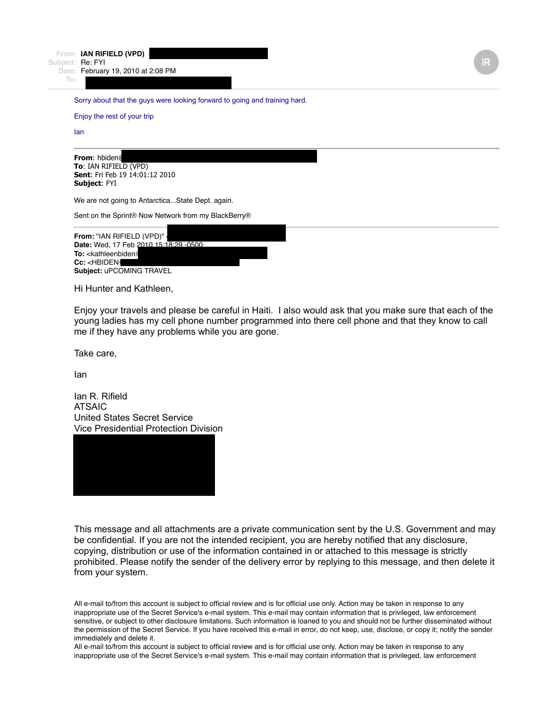**From: IAN RIFIELD (VPD)** 

**Subject:** Re: FYI **Date:** February 19, 2010 at 2:08 PM

**To:** HBIDEN@ROSEMONTSENECA.COM

Sorry about that the guys were looking forward to going and training hard.

Enjoy the rest of your trip

Ian

| <b>From: hbiden@</b>                  |  |
|---------------------------------------|--|
| <b>To:</b> IAN RIFIELD (VPD)          |  |
| <b>Sent:</b> Fri Feb 19 14:01:12 2010 |  |
| <b>Subject: FYI</b>                   |  |

We are not going to Antarctica...State Dept. again.

Sent on the Sprint® Now Network from my BlackBerry®



Hi Hunter and Kathleen,

Enjoy your travels and please be careful in Haiti. I also would ask that you make sure that each of the young ladies has my cell phone number programmed into there cell phone and that they know to call me if they have any problems while you are gone.

Take care,

Ian

Ian R. Rifield ATSAIC United States Secret Service Vice Presidential Protection Division



This message and all attachments are a private communication sent by the U.S. Government and may be confidential. If you are not the intended recipient, you are hereby notified that any disclosure, copying, distribution or use of the information contained in or attached to this message is strictly prohibited. Please notify the sender of the delivery error by replying to this message, and then delete it from your system.

All e-mail to/from this account is subject to official review and is for official use only. Action may be taken in response to any inappropriate use of the Secret Service's e-mail system. This e-mail may contain information that is privileged, law enforcement sensitive, or subject to other disclosure limitations. Such information is loaned to you and should not be further disseminated without the permission of the Secret Service. If you have received this e-mail in error, do not keep, use, disclose, or copy it; notify the sender immediately and delete it.

All e-mail to/from this account is subject to official review and is for official use only. Action may be taken in response to any inappropriate use of the Secret Service's e-mail system. This e-mail may contain information that is privileged, law enforcement